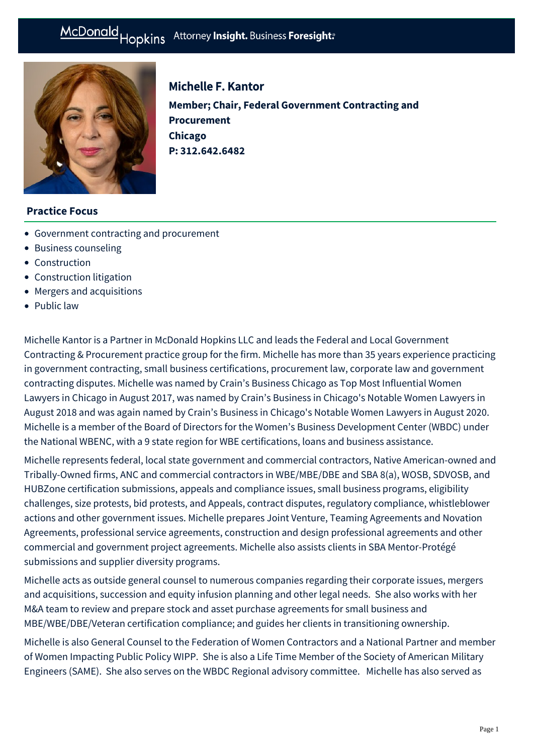# McDonald Hopkins Attorney Insight. Business Foresight:



## Michelle F. Kantor

**Member; Chair, Federal Government Contracting and Procurement Chicago P: [312.642.6482](tel:312.642.6482)**

#### **Practice Focus**

- [Government contracting and procurement](https://mcdonaldhopkins.com/Expertise/Government-contracting-and-procurement)
- [Business counseling](https://mcdonaldhopkins.com/Expertise/Business-counseling)
- [Construction](https://mcdonaldhopkins.com/Expertise/Industries/Construction)
- [Construction litigation](https://mcdonaldhopkins.com/Expertise/Litigation/Construction-litigation)
- [Mergers and acquisitions](https://mcdonaldhopkins.com/Expertise/Mergers-and-acquisitions)
- [Public law](https://mcdonaldhopkins.com/Expertise/Public-law)

Michelle Kantor is a Partner in McDonald Hopkins LLC and leads the Federal and Local Government Contracting & Procurement practice group for the firm. Michelle has more than 35 years experience practicing in government contracting, small business certifications, procurement law, corporate law and government contracting disputes. Michelle was named by Crain's Business Chicago as Top Most Influential Women Lawyers in Chicago in August 2017, was named by Crain's Business in Chicago's Notable Women Lawyers in August 2018 and was again named by Crain's Business in Chicago's Notable Women Lawyers in August 2020. Michelle is a member of the Board of Directors for the Women's Business Development Center (WBDC) under the National WBENC, with a 9 state region for WBE certifications, loans and business assistance.

Michelle represents federal, local state government and commercial contractors, Native American-owned and Tribally-Owned firms, ANC and commercial contractors in WBE/MBE/DBE and SBA 8(a), WOSB, SDVOSB, and HUBZone certification submissions, appeals and compliance issues, small business programs, eligibility challenges, size protests, bid protests, and Appeals, contract disputes, regulatory compliance, whistleblower actions and other government issues. Michelle prepares Joint Venture, Teaming Agreements and Novation Agreements, professional service agreements, construction and design professional agreements and other commercial and government project agreements. Michelle also assists clients in SBA Mentor-Protégé submissions and supplier diversity programs.

Michelle acts as outside general counsel to numerous companies regarding their corporate issues, mergers and acquisitions, succession and equity infusion planning and other legal needs. She also works with her M&A team to review and prepare stock and asset purchase agreements for small business and MBE/WBE/DBE/Veteran certification compliance; and guides her clients in transitioning ownership.

Michelle is also General Counsel to the Federation of Women Contractors and a National Partner and member of Women Impacting Public Policy WIPP. She is also a Life Time Member of the Society of American Military Engineers (SAME). She also serves on the WBDC Regional advisory committee. Michelle has also served as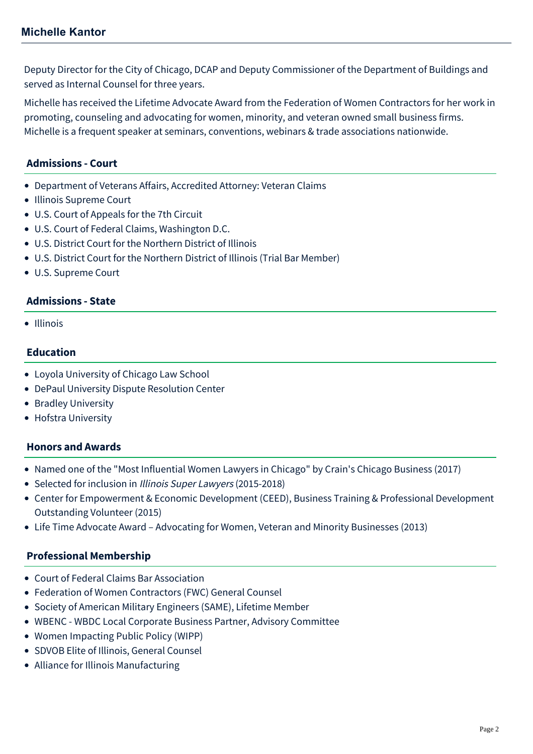Deputy Director for the City of Chicago, DCAP and Deputy Commissioner of the Department of Buildings and served as Internal Counsel for three years.

Michelle has received the Lifetime Advocate Award from the Federation of Women Contractors for her work in promoting, counseling and advocating for women, minority, and veteran owned small business firms. Michelle is a frequent speaker at seminars, conventions, webinars & trade associations nationwide.

## **Admissions - Court**

- Department of Veterans Affairs, Accredited Attorney: Veteran Claims
- Illinois Supreme Court
- U.S. Court of Appeals for the 7th Circuit
- U.S. Court of Federal Claims, Washington D.C.
- U.S. District Court for the Northern District of Illinois
- U.S. District Court for the Northern District of Illinois (Trial Bar Member)
- U.S. Supreme Court

## **Admissions - State**

• Illinois

## **Education**

- Loyola University of Chicago Law School
- DePaul University Dispute Resolution Center
- Bradley University
- Hofstra University

## **Honors and Awards**

- Named one of the "Most Influential Women Lawyers in Chicago" by Crain's Chicago Business (2017)
- Selected for inclusion in Illinois Super Lawyers (2015-2018)
- Center for Empowerment & Economic Development (CEED), Business Training & Professional Development Outstanding Volunteer (2015)
- Life Time Advocate Award Advocating for Women, Veteran and Minority Businesses (2013)

#### **Professional Membership**

- Court of Federal Claims Bar Association
- Federation of Women Contractors (FWC) General Counsel
- Society of American Military Engineers (SAME), Lifetime Member
- WBENC WBDC Local Corporate Business Partner, Advisory Committee
- Women Impacting Public Policy (WIPP)
- SDVOB Elite of Illinois, General Counsel
- Alliance for Illinois Manufacturing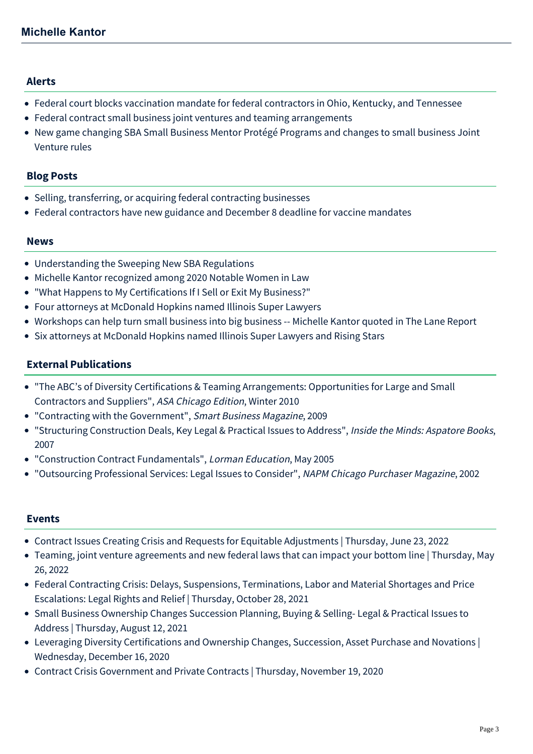#### **Alerts**

- [Federal court blocks vaccination mandate for federal contractors in Ohio, Kentucky, and Tennessee](https://mcdonaldhopkins.com/Insights/December-2021/Federal-court-blocks-vaccination-mandate-for-feder)
- [Federal contract small business joint ventures and teaming arrangements](https://mcdonaldhopkins.com/Insights/July-2017/Federal-contract-small-business-joint-ventures-and)
- [New game changing SBA Small Business Mentor Protégé Programs and changes to small business Joint](https://mcdonaldhopkins.com/Insights/August-2016/New-game-changing-SBA-small-business-mentor-proteg) Venture rules

## **Blog Posts**

- [Selling, transferring, or acquiring federal contracting businesses](https://mcdonaldhopkins.com/Insights/November-2021/Selling-Transferring-or-Acquiring-Federal-Contract)
- [Federal contractors have new guidance and December 8 deadline for vaccine mandates](https://mcdonaldhopkins.com/Insights/September-2021/Federal-contractors-have-new-guidance-and-December)

#### **News**

- [Understanding the Sweeping New SBA Regulations](https://mcdonaldhopkins.com/Insights/November-2020/Understanding-the-Sweeping-New-SBA-Regulations)
- [Michelle Kantor recognized among 2020 Notable Women in Law](https://mcdonaldhopkins.com/Insights/September-2020/Michelle-Kantor-recognized-among-2020-Notable-Wome)
- ["What Happens to My Certifications If I Sell or Exit My Business?"](https://mcdonaldhopkins.com/Insights/August-2017/What-Happens-to-My-Certifications-If-I-Sell-or-Exi)
- [Four attorneys at McDonald Hopkins named Illinois Super Lawyers](https://mcdonaldhopkins.com/Insights/January-2017/Four-attorneys-at-McDonald-Hopkins-named-Illinois)
- [Workshops can help turn small business into big business -- Michelle Kantor quoted in The Lane Report](https://mcdonaldhopkins.com/Insights/August-2015/Workshops-can-help-turn-small-business-into-big-bu)
- [Six attorneys at McDonald Hopkins named Illinois Super Lawyers and Rising Stars](https://mcdonaldhopkins.com/Insights/January-2015/Six-attorneys-at-McDonald-Hopkins-named-Illinois-S)

## **External Publications**

- "The ABC's of Diversity Certifications & Teaming Arrangements: Opportunities for Large and Small Contractors and Suppliers", ASA Chicago Edition, Winter 2010
- "Contracting with the Government", Smart Business Magazine, 2009
- "Structuring Construction Deals, Key Legal & Practical Issues to Address", Inside the Minds: Aspatore Books, 2007
- "Construction Contract Fundamentals", Lorman Education, May 2005
- "Outsourcing Professional Services: Legal Issues to Consider", NAPM Chicago Purchaser Magazine, 2002

#### **Events**

- [Contract Issues Creating Crisis and Requests for Equitable Adjustments | Thursday, June 23, 2022](https://mcdonaldhopkins.com/Events/2022/Contract-Issues-Creating-Crisis-and-Requests-for-E)
- [Teaming, joint venture agreements and new federal laws that can impact your bottom line | Thursday, May](https://mcdonaldhopkins.com/Events/2022/Teaming-Joint-Venture-Agreements-and-New-Federal-L) 26, 2022
- [Federal Contracting Crisis: Delays, Suspensions, Terminations, Labor and Material Shortages and Price](https://mcdonaldhopkins.com/Events/2021/Federal-Contracting-Crisis-Delays-Suspensions-Term) Escalations: Legal Rights and Relief | Thursday, October 28, 2021
- [Small Business Ownership Changes Succession Planning, Buying & Selling- Legal & Practical Issues to](https://mcdonaldhopkins.com/Events/2021/Small-Business-Ownership-Changes-Succession-Planni) Address | Thursday, August 12, 2021
- [Leveraging Diversity Certifications and Ownership Changes, Succession, Asset Purchase and Novations |](https://mcdonaldhopkins.com/Events/2020/Leveraging-Diversity-Certifications-and-Ownership) Wednesday, December 16, 2020
- [Contract Crisis Government and Private Contracts | Thursday, November 19, 2020](https://mcdonaldhopkins.com/Events/2020/Contract-Crisis-Government-and-Private-Contracts)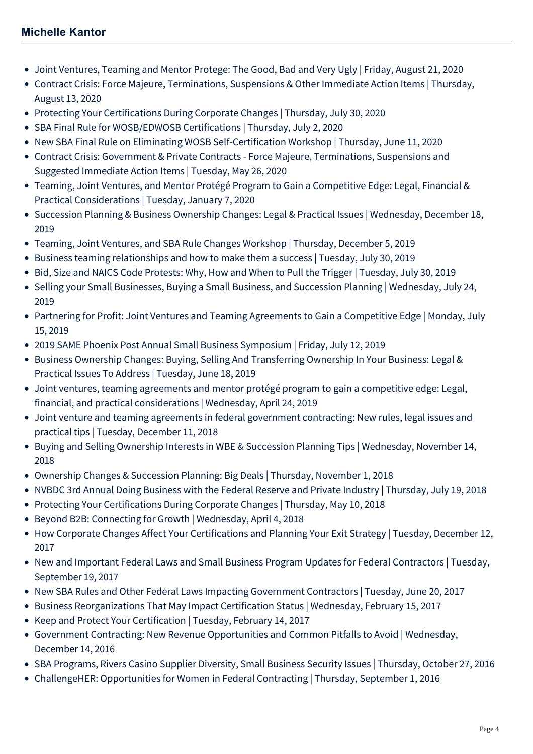- [Joint Ventures, Teaming and Mentor Protege: The Good, Bad and Very Ugly | Friday, August 21, 2020](https://mcdonaldhopkins.com/Events/2020/Joint-Ventures-Teaming-and-Mentor-Protege)
- [Contract Crisis: Force Majeure, Terminations, Suspensions & Other Immediate Action Items | Thursday,](https://mcdonaldhopkins.com/Events/2020/Force-Majeure-Terminations-Suspensions-Other-Immed) August 13, 2020
- [Protecting Your Certifications During Corporate Changes | Thursday, July 30, 2020](https://mcdonaldhopkins.com/Events/2020/Protecting-Your-Certifications-During-Corporate-Ch)
- [SBA Final Rule for WOSB/EDWOSB Certifications | Thursday, July 2, 2020](https://mcdonaldhopkins.com/Events/2020/SBA-Final-Rule-for-WOSB-EDWOSB-Certifications)
- [New SBA Final Rule on Eliminating WOSB Self-Certification Workshop | Thursday, June 11, 2020](https://mcdonaldhopkins.com/Events/2020/New-SBA-Final-Rule-on-Eliminating-WOSB-SelfCertifi)
- [Contract Crisis: Government & Private Contracts Force Majeure, Terminations, Suspensions and](https://mcdonaldhopkins.com/Events/2020/Contract-Crisis) Suggested Immediate Action Items | Tuesday, May 26, 2020
- [Teaming, Joint Ventures, and Mentor Protégé Program to Gain a Competitive Edge: Legal, Financial &](https://mcdonaldhopkins.com/Events/2020/Teaming-Joint-Ventures-and-Mentor-Protege-Program) Practical Considerations | Tuesday, January 7, 2020
- [Succession Planning & Business Ownership Changes: Legal & Practical Issues | Wednesday, December 18,](https://mcdonaldhopkins.com/Events/2019/Succession-Planning-and-Business-Ownership-Changes) 2019
- [Teaming, Joint Ventures, and SBA Rule Changes Workshop | Thursday, December 5, 2019](https://mcdonaldhopkins.com/Events/2019/Teaming-Joint-Ventures-and-SBA-Rule-Changes-Worksh)
- [Business teaming relationships and how to make them a success | Tuesday, July 30, 2019](https://mcdonaldhopkins.com/Events/2019/Business-teaming-relationships-and-how-to-make-the)
- [Bid, Size and NAICS Code Protests: Why, How and When to Pull the Trigger | Tuesday, July 30, 2019](https://mcdonaldhopkins.com/Events/2019/Bid-Size-NAICS-Code-Protests)
- [Selling your Small Businesses, Buying a Small Business, and Succession Planning | Wednesday, July 24,](https://mcdonaldhopkins.com/Events/2019/Selling-your-small-businesses-Buying-a-Small-Busin) 2019
- [Partnering for Profit: Joint Ventures and Teaming Agreements to Gain a Competitive Edge | Monday, July](https://mcdonaldhopkins.com/Events/2019/Joint-Ventures-and-Teaming-Agreements-to-Gain-a-Co) 15, 2019
- [2019 SAME Phoenix Post Annual Small Business Symposium | Friday, July 12, 2019](https://mcdonaldhopkins.com/Events/2019/2019-SAME-Phoenix-Post-Annual-Small-Business-Sympo)
- [Business Ownership Changes: Buying, Selling And Transferring Ownership In Your Business: Legal &](https://mcdonaldhopkins.com/Events/2019/Business-Ownership-Changes) Practical Issues To Address | Tuesday, June 18, 2019
- [Joint ventures, teaming agreements and mentor protégé program to gain a competitive edge: Legal,](https://mcdonaldhopkins.com/Events/2019/2019-Womens-Business-Center-Workshop) financial, and practical considerations | Wednesday, April 24, 2019
- [Joint venture and teaming agreements in federal government contracting: New rules, legal issues and](https://mcdonaldhopkins.com/Events/2018/The-American-Indian-Chamber-Education-Fund-PAT) practical tips | Tuesday, December 11, 2018
- [Buying and Selling Ownership Interests in WBE & Succession Planning Tips | Wednesday, November 14,](https://mcdonaldhopkins.com/Events/2018/Buying-and-Selling-Ownership-Interests-in-WBE-Succ) 2018
- [Ownership Changes & Succession Planning: Big Deals | Thursday, November 1, 2018](https://mcdonaldhopkins.com/Events/2018/Ownership-Changes-and-Succession-Planning)
- [NVBDC 3rd Annual Doing Business with the Federal Reserve and Private Industry | Thursday, July 19, 2018](https://mcdonaldhopkins.com/Events/2018/NVBDC-3rd-Annual-Doing-Business-with-the-Federal-R)
- [Protecting Your Certifications During Corporate Changes | Thursday, May 10, 2018](https://mcdonaldhopkins.com/Events/2018/Protecting-Your-Certifications-During-Corporate-Ch)
- [Beyond B2B: Connecting for Growth | Wednesday, April 4, 2018](https://mcdonaldhopkins.com/Events/2018/Beyond-B2B-Connecting-for-Growth)
- [How Corporate Changes Affect Your Certifications and Planning Your Exit Strategy | Tuesday, December 12,](https://mcdonaldhopkins.com/Events/2017/How-Corporate-Changes-Affect-Your-Certifications-and-Planning-Your-Exit-Strategy) 2017
- [New and Important Federal Laws and Small Business Program Updates for Federal Contractors | Tuesday,](https://mcdonaldhopkins.com/Events/2017/New-and-Important-Federal-Laws-and-Small-Business-Program-Updates-for-Federal-Contractors) September 19, 2017
- [New SBA Rules and Other Federal Laws Impacting Government Contractors | Tuesday, June 20, 2017](https://mcdonaldhopkins.com/Events/2017/New-SBA-Rules-and-Other-Federal-Laws-Impacting-Government-Contractors)
- [Business Reorganizations That May Impact Certification Status | Wednesday, February 15, 2017](https://mcdonaldhopkins.com/Events/2017/Business-Reorganizations-That-May-Impact-Certification-Status)
- [Keep and Protect Your Certification | Tuesday, February 14, 2017](https://mcdonaldhopkins.com/Events/2017/Keep-and-Protect-Your-Certification)
- [Government Contracting: New Revenue Opportunities and Common Pitfalls to Avoid | Wednesday,](https://mcdonaldhopkins.com/Events/2016/Government-Contracting-New-Revenue-Opportunities-and-Common-Pitfalls-to-Avoid) December 14, 2016
- [SBA Programs, Rivers Casino Supplier Diversity, Small Business Security Issues | Thursday, October 27, 2016](https://mcdonaldhopkins.com/Events/2016/SBA-Programs)
- [ChallengeHER: Opportunities for Women in Federal Contracting | Thursday, September 1, 2016](https://mcdonaldhopkins.com/Events/2016/ChallengeHER-Opportunities-for-Women-in-Federal-Contracting)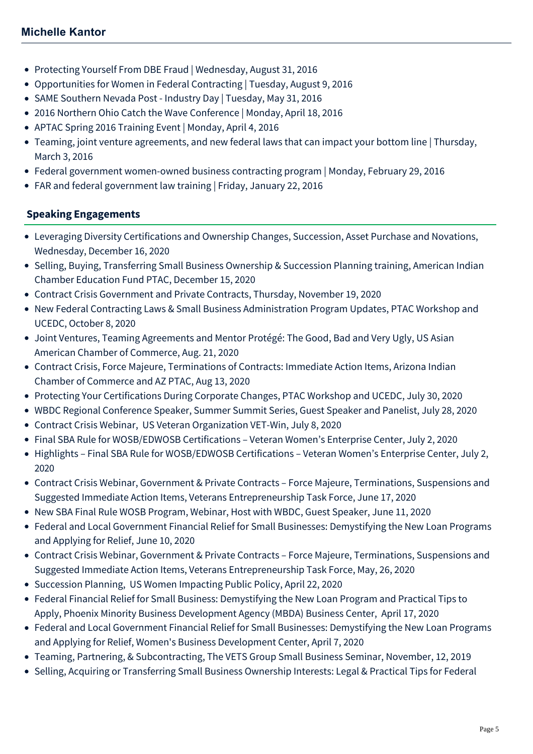- [Protecting Yourself From DBE Fraud | Wednesday, August 31, 2016](https://mcdonaldhopkins.com/Events/2016/Protecting-Yourself-From-DBE-Fraud)
- [Opportunities for Women in Federal Contracting | Tuesday, August 9, 2016](https://mcdonaldhopkins.com/Events/2016/Opportunities-for-Women-in-Federal-Contracting)
- [SAME Southern Nevada Post Industry Day | Tuesday, May 31, 2016](https://mcdonaldhopkins.com/Events/2016/SAME-Southern-Nevada-Post)
- [2016 Northern Ohio Catch the Wave Conference | Monday, April 18, 2016](https://mcdonaldhopkins.com/Events/2016/2016-Northern-Ohio-Catch-the-Wave-Conference)
- [APTAC Spring 2016 Training Event | Monday, April 4, 2016](https://mcdonaldhopkins.com/Events/2016/APTAC-Spring-2016-Training-Event)
- [Teaming, joint venture agreements, and new federal laws that can impact your bottom line | Thursday,](https://mcdonaldhopkins.com/Events/2016/Teaming,-joint-venture-agreements-&-new-federal-laws-that-can-impact-your-bottom-line) March 3, 2016
- [Federal government women-owned business contracting program | Monday, February 29, 2016](https://mcdonaldhopkins.com/Events/2016/Federal-government-women-owned-business-contracting-program)
- [FAR and federal government law training | Friday, January 22, 2016](https://mcdonaldhopkins.com/Events/2016/FAR-and-federal-government-law-training)

## **Speaking Engagements**

- Leveraging Diversity Certifications and Ownership Changes, Succession, Asset Purchase and Novations, Wednesday, December 16, 2020
- Selling, Buying, Transferring Small Business Ownership & Succession Planning training, American Indian Chamber Education Fund PTAC, December 15, 2020
- Contract Crisis Government and Private Contracts, Thursday, November 19, 2020
- New Federal Contracting Laws & Small Business Administration Program Updates, PTAC Workshop and UCEDC, October 8, 2020
- Joint Ventures, Teaming Agreements and Mentor Protégé: The Good, Bad and Very Ugly, US Asian American Chamber of Commerce, Aug. 21, 2020
- Contract Crisis, Force Majeure, Terminations of Contracts: Immediate Action Items, Arizona Indian Chamber of Commerce and AZ PTAC, Aug 13, 2020
- Protecting Your Certifications During Corporate Changes, PTAC Workshop and UCEDC, July 30, 2020
- WBDC Regional Conference Speaker, Summer Summit Series, Guest Speaker and Panelist, July 28, 2020
- Contract Crisis Webinar, US Veteran Organization VET-Win, July 8, 2020
- Final SBA Rule for WOSB/EDWOSB Certifications Veteran Women's Enterprise Center, July 2, 2020
- Highlights Final SBA Rule for WOSB/EDWOSB Certifications Veteran Women's Enterprise Center, July 2, 2020
- Contract Crisis Webinar, Government & Private Contracts Force Majeure, Terminations, Suspensions and Suggested Immediate Action Items, Veterans Entrepreneurship Task Force, June 17, 2020
- New SBA Final Rule WOSB Program, Webinar, Host with WBDC, Guest Speaker, June 11, 2020
- Federal and Local Government Financial Relief for Small Businesses: Demystifying the New Loan Programs and Applying for Relief, June 10, 2020
- Contract Crisis Webinar, Government & Private Contracts Force Majeure, Terminations, Suspensions and Suggested Immediate Action Items, Veterans Entrepreneurship Task Force, May, 26, 2020
- Succession Planning, US Women Impacting Public Policy, April 22, 2020
- Federal Financial Relief for Small Business: Demystifying the New Loan Program and Practical Tips to Apply, Phoenix Minority Business Development Agency (MBDA) Business Center, April 17, 2020
- Federal and Local Government Financial Relief for Small Businesses: Demystifying the New Loan Programs and Applying for Relief, Women's Business Development Center, April 7, 2020
- Teaming, Partnering, & Subcontracting, The VETS Group Small Business Seminar, November, 12, 2019
- Selling, Acquiring or Transferring Small Business Ownership Interests: Legal & Practical Tips for Federal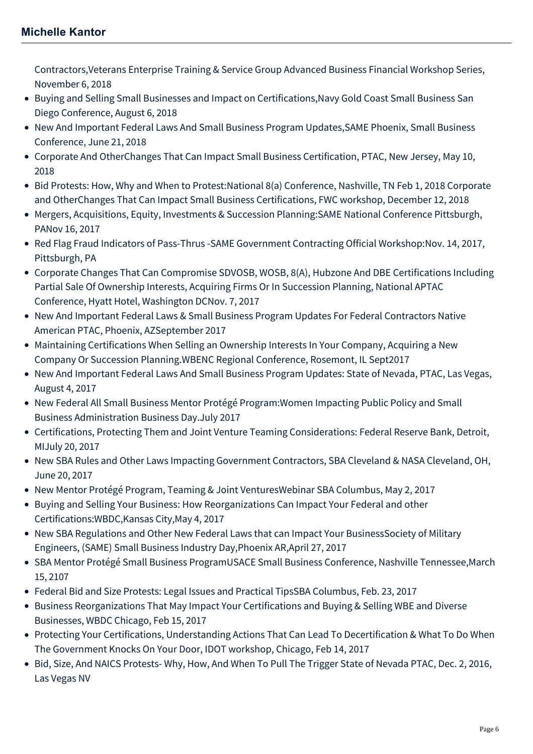Contractors,Veterans Enterprise Training & Service Group Advanced Business Financial Workshop Series, November 6, 2018

- Buying and Selling Small Businesses and Impact on Certifications,Navy Gold Coast Small Business San Diego Conference, August 6, 2018
- New And Important Federal Laws And Small Business Program Updates,SAME Phoenix, Small Business Conference, June 21, 2018
- Corporate And OtherChanges That Can Impact Small Business Certification, PTAC, New Jersey, May 10, 2018
- Bid Protests: How, Why and When to Protest:National 8(a) Conference, Nashville, TN Feb 1, 2018 Corporate and OtherChanges That Can Impact Small Business Certifications, FWC workshop, December 12, 2018
- Mergers, Acquisitions, Equity, Investments & Succession Planning:SAME National Conference Pittsburgh, PANov 16, 2017
- Red Flag Fraud Indicators of Pass-Thrus -SAME Government Contracting Official Workshop:Nov. 14, 2017, Pittsburgh, PA
- Corporate Changes That Can Compromise SDVOSB, WOSB, 8(A), Hubzone And DBE Certifications Including Partial Sale Of Ownership Interests, Acquiring Firms Or In Succession Planning, National APTAC Conference, Hyatt Hotel, Washington DCNov. 7, 2017
- New And Important Federal Laws & Small Business Program Updates For Federal Contractors Native American PTAC, Phoenix, AZSeptember 2017
- Maintaining Certifications When Selling an Ownership Interests In Your Company, Acquiring a New Company Or Succession Planning.WBENC Regional Conference, Rosemont, IL Sept2017
- New And Important Federal Laws And Small Business Program Updates: State of Nevada, PTAC, Las Vegas, August 4, 2017
- New Federal All Small Business Mentor Protégé Program:Women Impacting Public Policy and Small Business Administration Business Day.July 2017
- Certifications, Protecting Them and Joint Venture Teaming Considerations: Federal Reserve Bank, Detroit, MIJuly 20, 2017
- New SBA Rules and Other Laws Impacting Government Contractors, SBA Cleveland & NASA Cleveland, OH, June 20, 2017
- New Mentor Protégé Program, Teaming & Joint VenturesWebinar SBA Columbus, May 2, 2017
- Buying and Selling Your Business: How Reorganizations Can Impact Your Federal and other Certifications:WBDC,Kansas City,May 4, 2017
- New SBA Regulations and Other New Federal Laws that can Impact Your BusinessSociety of Military Engineers, (SAME) Small Business Industry Day,Phoenix AR,April 27, 2017
- SBA Mentor Protégé Small Business ProgramUSACE Small Business Conference, Nashville Tennessee,March 15, 2107
- Federal Bid and Size Protests: Legal Issues and Practical TipsSBA Columbus, Feb. 23, 2017
- Business Reorganizations That May Impact Your Certifications and Buying & Selling WBE and Diverse Businesses, WBDC Chicago, Feb 15, 2017
- Protecting Your Certifications, Understanding Actions That Can Lead To Decertification & What To Do When The Government Knocks On Your Door, IDOT workshop, Chicago, Feb 14, 2017
- Bid, Size, And NAICS Protests- Why, How, And When To Pull The Trigger State of Nevada PTAC, Dec. 2, 2016, Las Vegas NV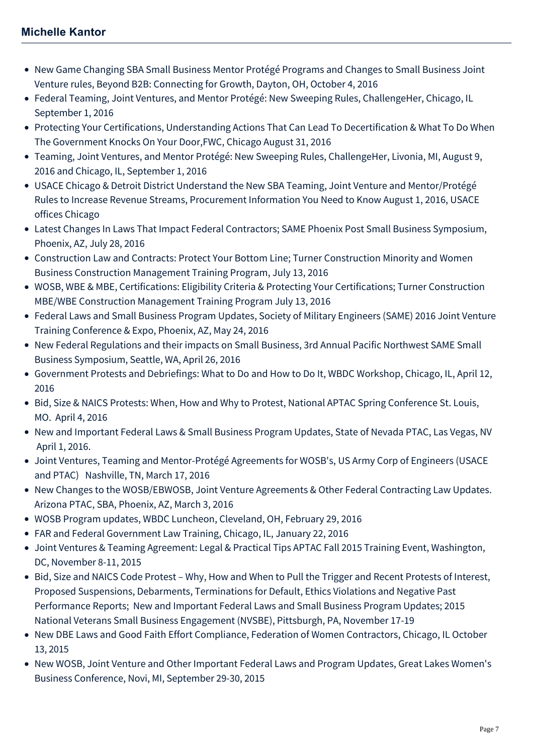## **Michelle Kantor**

- New Game Changing SBA Small Business Mentor Protégé Programs and Changes to Small Business Joint Venture rules, Beyond B2B: Connecting for Growth, Dayton, OH, October 4, 2016
- Federal Teaming, Joint Ventures, and Mentor Protégé: New Sweeping Rules, ChallengeHer, Chicago, IL September 1, 2016
- Protecting Your Certifications, Understanding Actions That Can Lead To Decertification & What To Do When The Government Knocks On Your Door,FWC, Chicago August 31, 2016
- Teaming, Joint Ventures, and Mentor Protégé: New Sweeping Rules, ChallengeHer, Livonia, MI, August 9, 2016 and Chicago, IL, September 1, 2016
- USACE Chicago & Detroit District Understand the New SBA Teaming, Joint Venture and Mentor/Protégé Rules to Increase Revenue Streams, Procurement Information You Need to Know August 1, 2016, USACE offices Chicago
- Latest Changes In Laws That Impact Federal Contractors; SAME Phoenix Post Small Business Symposium, Phoenix, AZ, July 28, 2016
- Construction Law and Contracts: Protect Your Bottom Line; Turner Construction Minority and Women Business Construction Management Training Program, July 13, 2016
- WOSB, WBE & MBE, Certifications: Eligibility Criteria & Protecting Your Certifications; Turner Construction MBE/WBE Construction Management Training Program July 13, 2016
- Federal Laws and Small Business Program Updates, Society of Military Engineers (SAME) 2016 Joint Venture Training Conference & Expo, Phoenix, AZ, May 24, 2016
- New Federal Regulations and their impacts on Small Business, 3rd Annual Pacific Northwest SAME Small Business Symposium, Seattle, WA, April 26, 2016
- Government Protests and Debriefings: What to Do and How to Do It, WBDC Workshop, Chicago, IL, April 12, 2016
- Bid, Size & NAICS Protests: When, How and Why to Protest, National APTAC Spring Conference St. Louis, MO. April 4, 2016
- New and Important Federal Laws & Small Business Program Updates, State of Nevada PTAC, Las Vegas, NV April 1, 2016.
- Joint Ventures, Teaming and Mentor-Protégé Agreements for WOSB's, US Army Corp of Engineers (USACE and PTAC) Nashville, TN, March 17, 2016
- New Changes to the WOSB/EBWOSB, Joint Venture Agreements & Other Federal Contracting Law Updates. Arizona PTAC, SBA, Phoenix, AZ, March 3, 2016
- WOSB Program updates, WBDC Luncheon, Cleveland, OH, February 29, 2016
- FAR and Federal Government Law Training, Chicago, IL, January 22, 2016
- Joint Ventures & Teaming Agreement: Legal & Practical Tips APTAC Fall 2015 Training Event, Washington, DC, November 8-11, 2015
- Bid, Size and NAICS Code Protest Why, How and When to Pull the Trigger and Recent Protests of Interest, Proposed Suspensions, Debarments, Terminations for Default, Ethics Violations and Negative Past Performance Reports; New and Important Federal Laws and Small Business Program Updates; 2015 National Veterans Small Business Engagement (NVSBE), Pittsburgh, PA, November 17-19
- New DBE Laws and Good Faith Effort Compliance, Federation of Women Contractors, Chicago, IL October 13, 2015
- New WOSB, Joint Venture and Other Important Federal Laws and Program Updates, Great Lakes Women's Business Conference, Novi, MI, September 29-30, 2015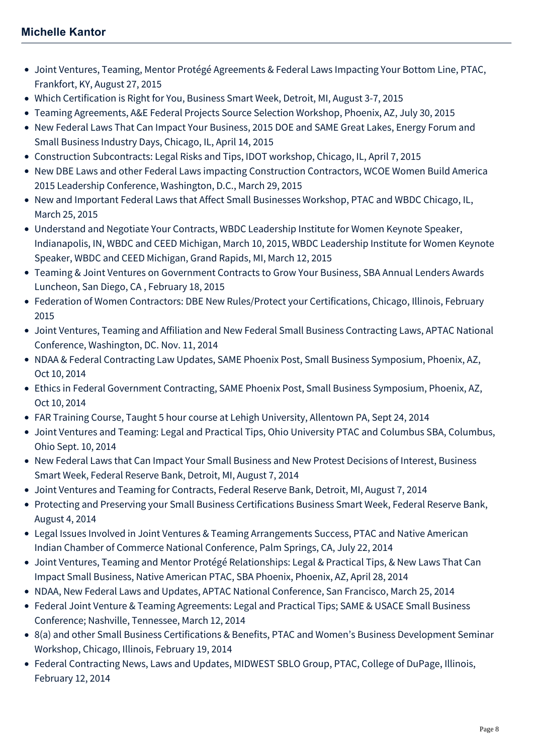- Joint Ventures, Teaming, Mentor Protégé Agreements & Federal Laws Impacting Your Bottom Line, PTAC, Frankfort, KY, August 27, 2015
- Which Certification is Right for You, Business Smart Week, Detroit, MI, August 3-7, 2015
- Teaming Agreements, A&E Federal Projects Source Selection Workshop, Phoenix, AZ, July 30, 2015
- New Federal Laws That Can Impact Your Business, 2015 DOE and SAME Great Lakes, Energy Forum and Small Business Industry Days, Chicago, IL, April 14, 2015
- Construction Subcontracts: Legal Risks and Tips, IDOT workshop, Chicago, IL, April 7, 2015
- New DBE Laws and other Federal Laws impacting Construction Contractors, WCOE Women Build America 2015 Leadership Conference, Washington, D.C., March 29, 2015
- New and Important Federal Laws that Affect Small Businesses Workshop, PTAC and WBDC Chicago, IL, March 25, 2015
- Understand and Negotiate Your Contracts, WBDC Leadership Institute for Women Keynote Speaker, Indianapolis, IN, WBDC and CEED Michigan, March 10, 2015, WBDC Leadership Institute for Women Keynote Speaker, WBDC and CEED Michigan, Grand Rapids, MI, March 12, 2015
- Teaming & Joint Ventures on Government Contracts to Grow Your Business, SBA Annual Lenders Awards Luncheon, San Diego, CA , February 18, 2015
- Federation of Women Contractors: DBE New Rules/Protect your Certifications, Chicago, Illinois, February 2015
- Joint Ventures, Teaming and Affiliation and New Federal Small Business Contracting Laws, APTAC National Conference, Washington, DC. Nov. 11, 2014
- NDAA & Federal Contracting Law Updates, SAME Phoenix Post, Small Business Symposium, Phoenix, AZ, Oct 10, 2014
- Ethics in Federal Government Contracting, SAME Phoenix Post, Small Business Symposium, Phoenix, AZ, Oct 10, 2014
- FAR Training Course, Taught 5 hour course at Lehigh University, Allentown PA, Sept 24, 2014
- Joint Ventures and Teaming: Legal and Practical Tips, Ohio University PTAC and Columbus SBA, Columbus, Ohio Sept. 10, 2014
- New Federal Laws that Can Impact Your Small Business and New Protest Decisions of Interest, Business Smart Week, Federal Reserve Bank, Detroit, MI, August 7, 2014
- Joint Ventures and Teaming for Contracts, Federal Reserve Bank, Detroit, MI, August 7, 2014
- Protecting and Preserving your Small Business Certifications Business Smart Week, Federal Reserve Bank, August 4, 2014
- Legal Issues Involved in Joint Ventures & Teaming Arrangements Success, PTAC and Native American Indian Chamber of Commerce National Conference, Palm Springs, CA, July 22, 2014
- Joint Ventures, Teaming and Mentor Protégé Relationships: Legal & Practical Tips, & New Laws That Can Impact Small Business, Native American PTAC, SBA Phoenix, Phoenix, AZ, April 28, 2014
- NDAA, New Federal Laws and Updates, APTAC National Conference, San Francisco, March 25, 2014
- Federal Joint Venture & Teaming Agreements: Legal and Practical Tips; SAME & USACE Small Business Conference; Nashville, Tennessee, March 12, 2014
- 8(a) and other Small Business Certifications & Benefits, PTAC and Women's Business Development Seminar Workshop, Chicago, Illinois, February 19, 2014
- Federal Contracting News, Laws and Updates, MIDWEST SBLO Group, PTAC, College of DuPage, Illinois, February 12, 2014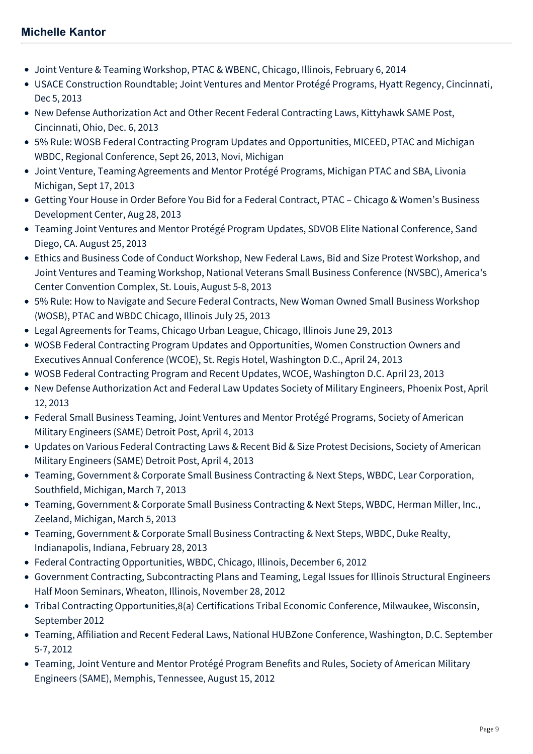- Joint Venture & Teaming Workshop, PTAC & WBENC, Chicago, Illinois, February 6, 2014
- USACE Construction Roundtable; Joint Ventures and Mentor Protégé Programs, Hyatt Regency, Cincinnati, Dec 5, 2013
- New Defense Authorization Act and Other Recent Federal Contracting Laws, Kittyhawk SAME Post, Cincinnati, Ohio, Dec. 6, 2013
- 5% Rule: WOSB Federal Contracting Program Updates and Opportunities, MICEED, PTAC and Michigan WBDC, Regional Conference, Sept 26, 2013, Novi, Michigan
- Joint Venture, Teaming Agreements and Mentor Protégé Programs, Michigan PTAC and SBA, Livonia Michigan, Sept 17, 2013
- Getting Your House in Order Before You Bid for a Federal Contract, PTAC Chicago & Women's Business Development Center, Aug 28, 2013
- Teaming Joint Ventures and Mentor Protégé Program Updates, SDVOB Elite National Conference, Sand Diego, CA. August 25, 2013
- Ethics and Business Code of Conduct Workshop, New Federal Laws, Bid and Size Protest Workshop, and Joint Ventures and Teaming Workshop, National Veterans Small Business Conference (NVSBC), America's Center Convention Complex, St. Louis, August 5-8, 2013
- 5% Rule: How to Navigate and Secure Federal Contracts, New Woman Owned Small Business Workshop (WOSB), PTAC and WBDC Chicago, Illinois July 25, 2013
- Legal Agreements for Teams, Chicago Urban League, Chicago, Illinois June 29, 2013
- WOSB Federal Contracting Program Updates and Opportunities, Women Construction Owners and Executives Annual Conference (WCOE), St. Regis Hotel, Washington D.C., April 24, 2013
- WOSB Federal Contracting Program and Recent Updates, WCOE, Washington D.C. April 23, 2013
- New Defense Authorization Act and Federal Law Updates Society of Military Engineers, Phoenix Post, April 12, 2013
- Federal Small Business Teaming, Joint Ventures and Mentor Protégé Programs, Society of American Military Engineers (SAME) Detroit Post, April 4, 2013
- Updates on Various Federal Contracting Laws & Recent Bid & Size Protest Decisions, Society of American Military Engineers (SAME) Detroit Post, April 4, 2013
- Teaming, Government & Corporate Small Business Contracting & Next Steps, WBDC, Lear Corporation, Southfield, Michigan, March 7, 2013
- Teaming, Government & Corporate Small Business Contracting & Next Steps, WBDC, Herman Miller, Inc., Zeeland, Michigan, March 5, 2013
- Teaming, Government & Corporate Small Business Contracting & Next Steps, WBDC, Duke Realty, Indianapolis, Indiana, February 28, 2013
- Federal Contracting Opportunities, WBDC, Chicago, Illinois, December 6, 2012
- Government Contracting, Subcontracting Plans and Teaming, Legal Issues for Illinois Structural Engineers Half Moon Seminars, Wheaton, Illinois, November 28, 2012
- Tribal Contracting Opportunities,8(a) Certifications Tribal Economic Conference, Milwaukee, Wisconsin, September 2012
- Teaming, Affiliation and Recent Federal Laws, National HUBZone Conference, Washington, D.C. September 5-7, 2012
- Teaming, Joint Venture and Mentor Protégé Program Benefits and Rules, Society of American Military Engineers (SAME), Memphis, Tennessee, August 15, 2012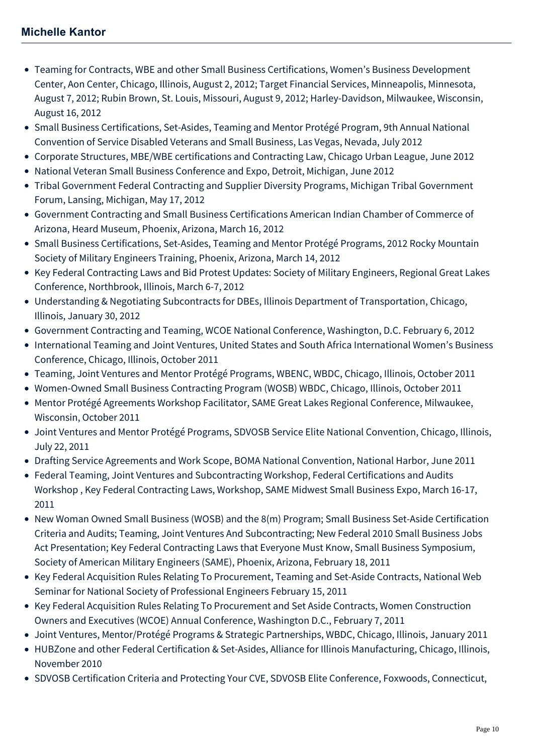- Teaming for Contracts, WBE and other Small Business Certifications, Women's Business Development Center, Aon Center, Chicago, Illinois, August 2, 2012; Target Financial Services, Minneapolis, Minnesota, August 7, 2012; Rubin Brown, St. Louis, Missouri, August 9, 2012; Harley-Davidson, Milwaukee, Wisconsin, August 16, 2012
- Small Business Certifications, Set-Asides, Teaming and Mentor Protégé Program, 9th Annual National Convention of Service Disabled Veterans and Small Business, Las Vegas, Nevada, July 2012
- Corporate Structures, MBE/WBE certifications and Contracting Law, Chicago Urban League, June 2012
- National Veteran Small Business Conference and Expo, Detroit, Michigan, June 2012
- Tribal Government Federal Contracting and Supplier Diversity Programs, Michigan Tribal Government Forum, Lansing, Michigan, May 17, 2012
- Government Contracting and Small Business Certifications American Indian Chamber of Commerce of Arizona, Heard Museum, Phoenix, Arizona, March 16, 2012
- Small Business Certifications, Set-Asides, Teaming and Mentor Protégé Programs, 2012 Rocky Mountain Society of Military Engineers Training, Phoenix, Arizona, March 14, 2012
- Key Federal Contracting Laws and Bid Protest Updates: Society of Military Engineers, Regional Great Lakes Conference, Northbrook, Illinois, March 6-7, 2012
- Understanding & Negotiating Subcontracts for DBEs, Illinois Department of Transportation, Chicago, Illinois, January 30, 2012
- Government Contracting and Teaming, WCOE National Conference, Washington, D.C. February 6, 2012
- International Teaming and Joint Ventures, United States and South Africa International Women's Business Conference, Chicago, Illinois, October 2011
- Teaming, Joint Ventures and Mentor Protégé Programs, WBENC, WBDC, Chicago, Illinois, October 2011
- Women-Owned Small Business Contracting Program (WOSB) WBDC, Chicago, Illinois, October 2011
- Mentor Protégé Agreements Workshop Facilitator, SAME Great Lakes Regional Conference, Milwaukee, Wisconsin, October 2011
- Joint Ventures and Mentor Protégé Programs, SDVOSB Service Elite National Convention, Chicago, Illinois, July 22, 2011
- Drafting Service Agreements and Work Scope, BOMA National Convention, National Harbor, June 2011
- Federal Teaming, Joint Ventures and Subcontracting Workshop, Federal Certifications and Audits Workshop , Key Federal Contracting Laws, Workshop, SAME Midwest Small Business Expo, March 16-17, 2011
- New Woman Owned Small Business (WOSB) and the 8(m) Program; Small Business Set-Aside Certification Criteria and Audits; Teaming, Joint Ventures And Subcontracting; New Federal 2010 Small Business Jobs Act Presentation; Key Federal Contracting Laws that Everyone Must Know, Small Business Symposium, Society of American Military Engineers (SAME), Phoenix, Arizona, February 18, 2011
- Key Federal Acquisition Rules Relating To Procurement, Teaming and Set-Aside Contracts, National Web Seminar for National Society of Professional Engineers February 15, 2011
- Key Federal Acquisition Rules Relating To Procurement and Set Aside Contracts, Women Construction Owners and Executives (WCOE) Annual Conference, Washington D.C., February 7, 2011
- Joint Ventures, Mentor/Protégé Programs & Strategic Partnerships, WBDC, Chicago, Illinois, January 2011
- HUBZone and other Federal Certification & Set-Asides, Alliance for Illinois Manufacturing, Chicago, Illinois, November 2010
- SDVOSB Certification Criteria and Protecting Your CVE, SDVOSB Elite Conference, Foxwoods, Connecticut,